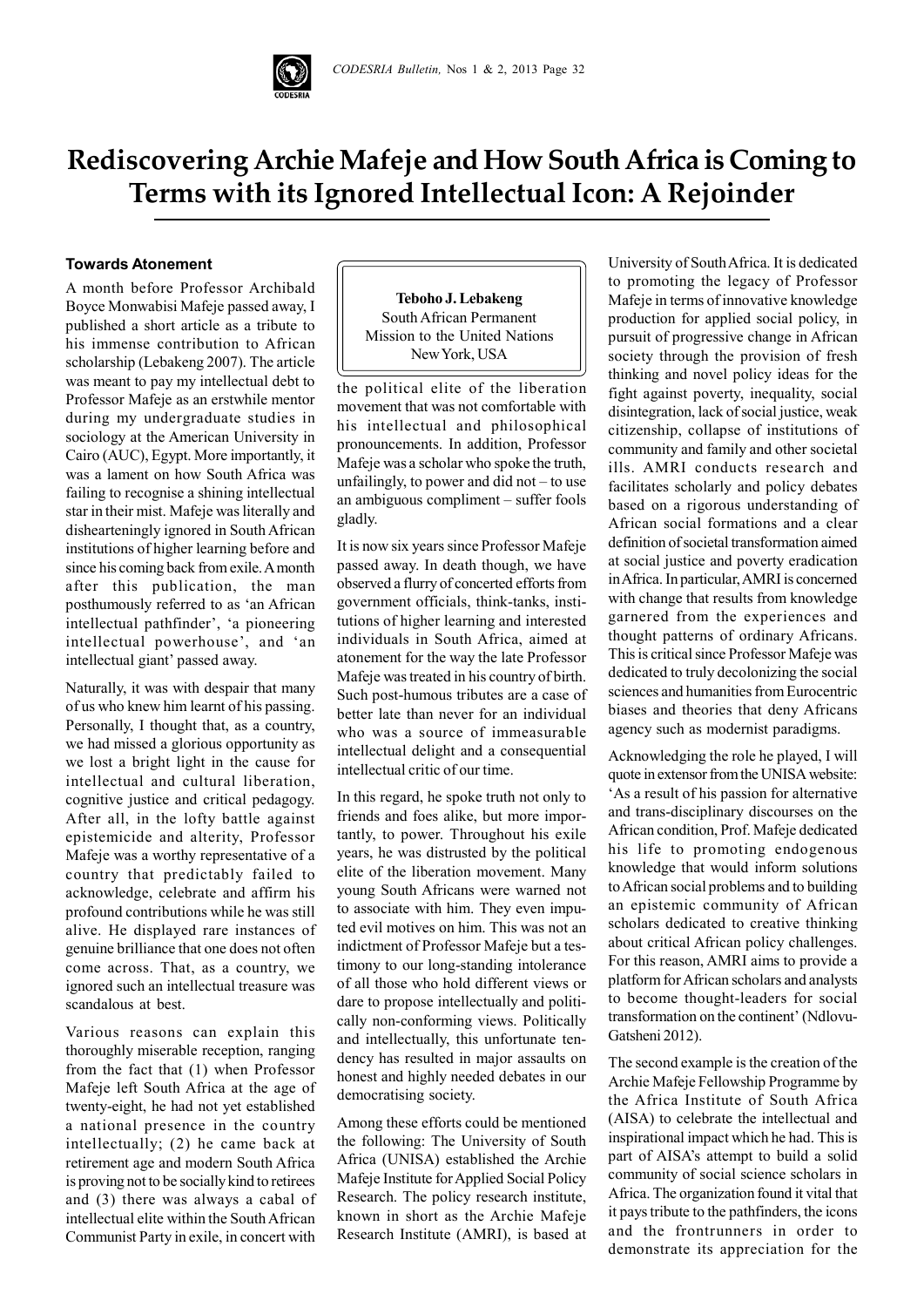

# **Rediscovering Archie Mafeje and How South Africa is Coming to Terms with its Ignored Intellectual Icon: A Rejoinder**

## **Towards Atonement**

A month before Professor Archibald Boyce Monwabisi Mafeje passed away, I published a short article as a tribute to his immense contribution to African scholarship (Lebakeng 2007). The article was meant to pay my intellectual debt to Professor Mafeje as an erstwhile mentor during my undergraduate studies in sociology at the American University in Cairo (AUC), Egypt. More importantly, it was a lament on how South Africa was failing to recognise a shining intellectual star in their mist. Mafeje was literally and dishearteningly ignored in South African institutions of higher learning before and since his coming back from exile. A month after this publication, the man posthumously referred to as 'an African intellectual pathfinder', 'a pioneering intellectual powerhouse', and 'an intellectual giant' passed away.

Naturally, it was with despair that many of us who knew him learnt of his passing. Personally, I thought that, as a country, we had missed a glorious opportunity as we lost a bright light in the cause for intellectual and cultural liberation, cognitive justice and critical pedagogy. After all, in the lofty battle against epistemicide and alterity, Professor Mafeje was a worthy representative of a country that predictably failed to acknowledge, celebrate and affirm his profound contributions while he was still alive. He displayed rare instances of genuine brilliance that one does not often come across. That, as a country, we ignored such an intellectual treasure was scandalous at best.

Various reasons can explain this thoroughly miserable reception, ranging from the fact that (1) when Professor Mafeje left South Africa at the age of twenty-eight, he had not yet established a national presence in the country intellectually; (2) he came back at retirement age and modern South Africa is proving not to be socially kind to retirees and (3) there was always a cabal of intellectual elite within the South African Communist Party in exile, in concert with

**Teboho J. Lebakeng** South African Permanent Mission to the United Nations New York, USA

the political elite of the liberation movement that was not comfortable with his intellectual and philosophical pronouncements. In addition, Professor Mafeje was a scholar who spoke the truth, unfailingly, to power and did not – to use an ambiguous compliment – suffer fools gladly.

It is now six years since Professor Mafeje passed away. In death though, we have observed a flurry of concerted efforts from government officials, think-tanks, institutions of higher learning and interested individuals in South Africa, aimed at atonement for the way the late Professor Mafeje was treated in his country of birth. Such post-humous tributes are a case of better late than never for an individual who was a source of immeasurable intellectual delight and a consequential intellectual critic of our time.

In this regard, he spoke truth not only to friends and foes alike, but more importantly, to power. Throughout his exile years, he was distrusted by the political elite of the liberation movement. Many young South Africans were warned not to associate with him. They even imputed evil motives on him. This was not an indictment of Professor Mafeje but a testimony to our long-standing intolerance of all those who hold different views or dare to propose intellectually and politically non-conforming views. Politically and intellectually, this unfortunate tendency has resulted in major assaults on honest and highly needed debates in our democratising society.

Among these efforts could be mentioned the following: The University of South Africa (UNISA) established the Archie Mafeje Institute for Applied Social Policy Research. The policy research institute, known in short as the Archie Mafeje Research Institute (AMRI), is based at

University of South Africa. It is dedicated to promoting the legacy of Professor Mafeje in terms of innovative knowledge production for applied social policy, in pursuit of progressive change in African society through the provision of fresh thinking and novel policy ideas for the fight against poverty, inequality, social disintegration, lack of social justice, weak citizenship, collapse of institutions of community and family and other societal ills. AMRI conducts research and facilitates scholarly and policy debates based on a rigorous understanding of African social formations and a clear definition of societal transformation aimed at social justice and poverty eradication in Africa. In particular, AMRI is concerned with change that results from knowledge garnered from the experiences and thought patterns of ordinary Africans. This is critical since Professor Mafeje was dedicated to truly decolonizing the social sciences and humanities from Eurocentric biases and theories that deny Africans agency such as modernist paradigms.

Acknowledging the role he played, I will quote in extensor from the UNISA website: 'As a result of his passion for alternative and trans-disciplinary discourses on the African condition, Prof. Mafeje dedicated his life to promoting endogenous knowledge that would inform solutions to African social problems and to building an epistemic community of African scholars dedicated to creative thinking about critical African policy challenges. For this reason, AMRI aims to provide a platform for African scholars and analysts to become thought-leaders for social transformation on the continent' (Ndlovu-Gatsheni 2012).

The second example is the creation of the Archie Mafeje Fellowship Programme by the Africa Institute of South Africa (AISA) to celebrate the intellectual and inspirational impact which he had. This is part of AISA's attempt to build a solid community of social science scholars in Africa. The organization found it vital that it pays tribute to the pathfinders, the icons and the frontrunners in order to demonstrate its appreciation for the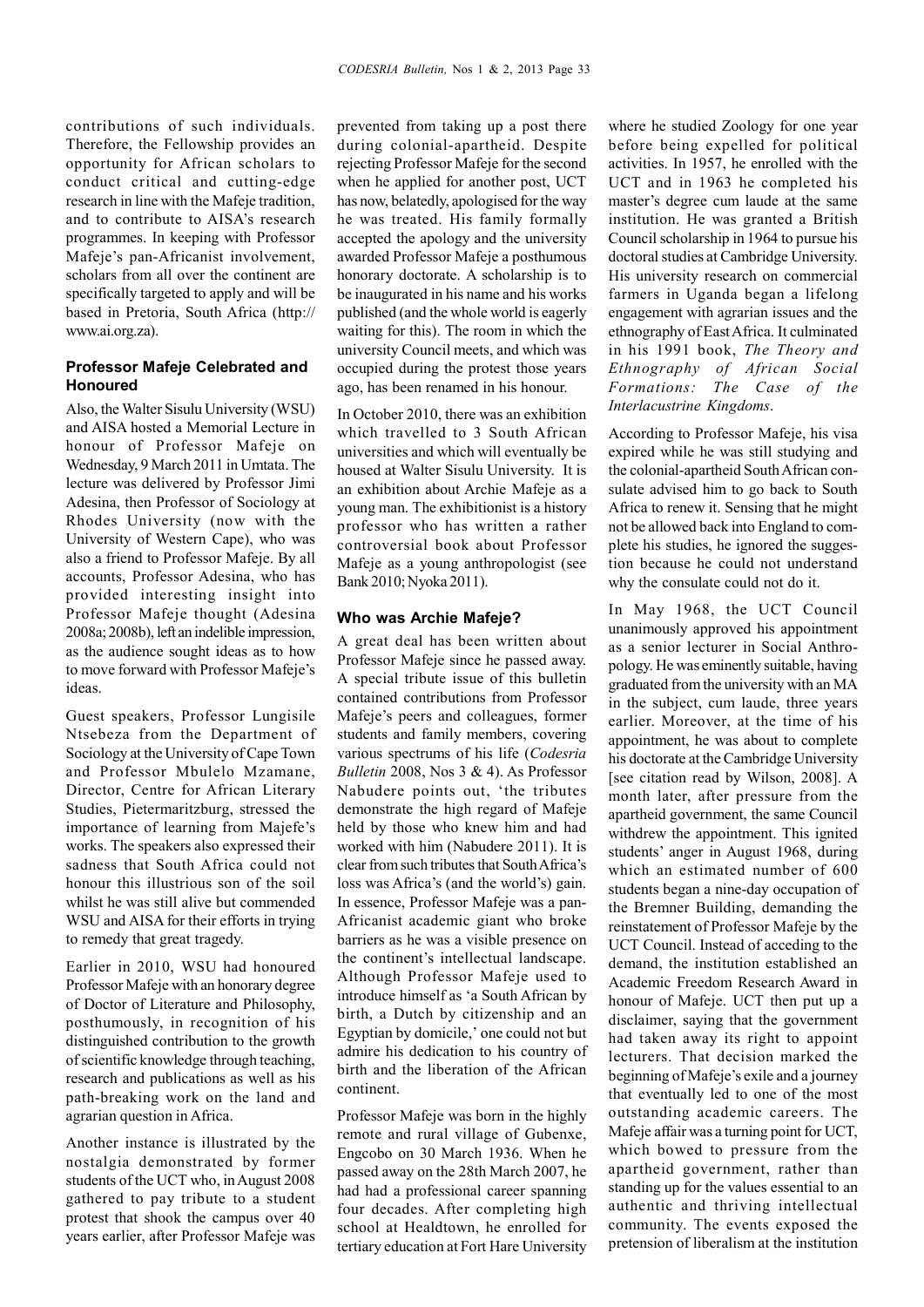contributions of such individuals. Therefore, the Fellowship provides an opportunity for African scholars to conduct critical and cutting-edge research in line with the Mafeje tradition, and to contribute to AISA's research programmes. In keeping with Professor Mafeje's pan-Africanist involvement, scholars from all over the continent are specifically targeted to apply and will be based in Pretoria, South Africa (http:// www.ai.org.za).

# **Professor Mafeje Celebrated and Honoured**

Also, the Walter Sisulu University (WSU) and AISA hosted a Memorial Lecture in honour of Professor Mafeje on Wednesday, 9 March 2011 in Umtata. The lecture was delivered by Professor Jimi Adesina, then Professor of Sociology at Rhodes University (now with the University of Western Cape), who was also a friend to Professor Mafeje. By all accounts, Professor Adesina, who has provided interesting insight into Professor Mafeje thought (Adesina 2008a; 2008b), left an indelible impression, as the audience sought ideas as to how to move forward with Professor Mafeje's ideas.

Guest speakers, Professor Lungisile Ntsebeza from the Department of Sociology at the University of Cape Town and Professor Mbulelo Mzamane, Director, Centre for African Literary Studies, Pietermaritzburg, stressed the importance of learning from Majefe's works. The speakers also expressed their sadness that South Africa could not honour this illustrious son of the soil whilst he was still alive but commended WSU and AISA for their efforts in trying to remedy that great tragedy.

Earlier in 2010, WSU had honoured Professor Mafeje with an honorary degree of Doctor of Literature and Philosophy, posthumously, in recognition of his distinguished contribution to the growth of scientific knowledge through teaching, research and publications as well as his path-breaking work on the land and agrarian question in Africa.

Another instance is illustrated by the nostalgia demonstrated by former students of the UCT who, in August 2008 gathered to pay tribute to a student protest that shook the campus over 40 years earlier, after Professor Mafeje was prevented from taking up a post there during colonial-apartheid. Despite rejecting Professor Mafeje for the second when he applied for another post, UCT has now, belatedly, apologised for the way he was treated. His family formally accepted the apology and the university awarded Professor Mafeje a posthumous honorary doctorate. A scholarship is to be inaugurated in his name and his works published (and the whole world is eagerly waiting for this). The room in which the university Council meets, and which was occupied during the protest those years ago, has been renamed in his honour.

In October 2010, there was an exhibition which travelled to 3 South African universities and which will eventually be housed at Walter Sisulu University. It is an exhibition about Archie Mafeje as a young man. The exhibitionist is a history professor who has written a rather controversial book about Professor Mafeje as a young anthropologist (see Bank 2010; Nyoka 2011).

#### **Who was Archie Mafeje?**

A great deal has been written about Professor Mafeje since he passed away. A special tribute issue of this bulletin contained contributions from Professor Mafeje's peers and colleagues, former students and family members, covering various spectrums of his life (*Codesria Bulletin* 2008, Nos 3 & 4). As Professor Nabudere points out, 'the tributes demonstrate the high regard of Mafeje held by those who knew him and had worked with him (Nabudere 2011). It is clear from such tributes that South Africa's loss was Africa's (and the world's) gain. In essence, Professor Mafeje was a pan-Africanist academic giant who broke barriers as he was a visible presence on the continent's intellectual landscape. Although Professor Mafeje used to introduce himself as 'a South African by birth, a Dutch by citizenship and an Egyptian by domicile,' one could not but admire his dedication to his country of birth and the liberation of the African continent.

Professor Mafeje was born in the highly remote and rural village of Gubenxe, Engcobo on 30 March 1936. When he passed away on the 28th March 2007, he had had a professional career spanning four decades. After completing high school at Healdtown, he enrolled for tertiary education at Fort Hare University where he studied Zoology for one year before being expelled for political activities. In 1957, he enrolled with the UCT and in 1963 he completed his master's degree cum laude at the same institution. He was granted a British Council scholarship in 1964 to pursue his doctoral studies at Cambridge University. His university research on commercial farmers in Uganda began a lifelong engagement with agrarian issues and the ethnography of East Africa. It culminated in his 1991 book, *The Theory and Ethnography of African Social Formations: The Case of the Interlacustrine Kingdoms*.

According to Professor Mafeje, his visa expired while he was still studying and the colonial-apartheid South African consulate advised him to go back to South Africa to renew it. Sensing that he might not be allowed back into England to complete his studies, he ignored the suggestion because he could not understand why the consulate could not do it.

In May 1968, the UCT Council unanimously approved his appointment as a senior lecturer in Social Anthropology. He was eminently suitable, having graduated from the university with an MA in the subject, cum laude, three years earlier. Moreover, at the time of his appointment, he was about to complete his doctorate at the Cambridge University [see citation read by Wilson, 2008]. A month later, after pressure from the apartheid government, the same Council withdrew the appointment. This ignited students' anger in August 1968, during which an estimated number of 600 students began a nine-day occupation of the Bremner Building, demanding the reinstatement of Professor Mafeje by the UCT Council. Instead of acceding to the demand, the institution established an Academic Freedom Research Award in honour of Mafeje. UCT then put up a disclaimer, saying that the government had taken away its right to appoint lecturers. That decision marked the beginning of Mafeje's exile and a journey that eventually led to one of the most outstanding academic careers. The Mafeje affair was a turning point for UCT, which bowed to pressure from the apartheid government, rather than standing up for the values essential to an authentic and thriving intellectual community. The events exposed the pretension of liberalism at the institution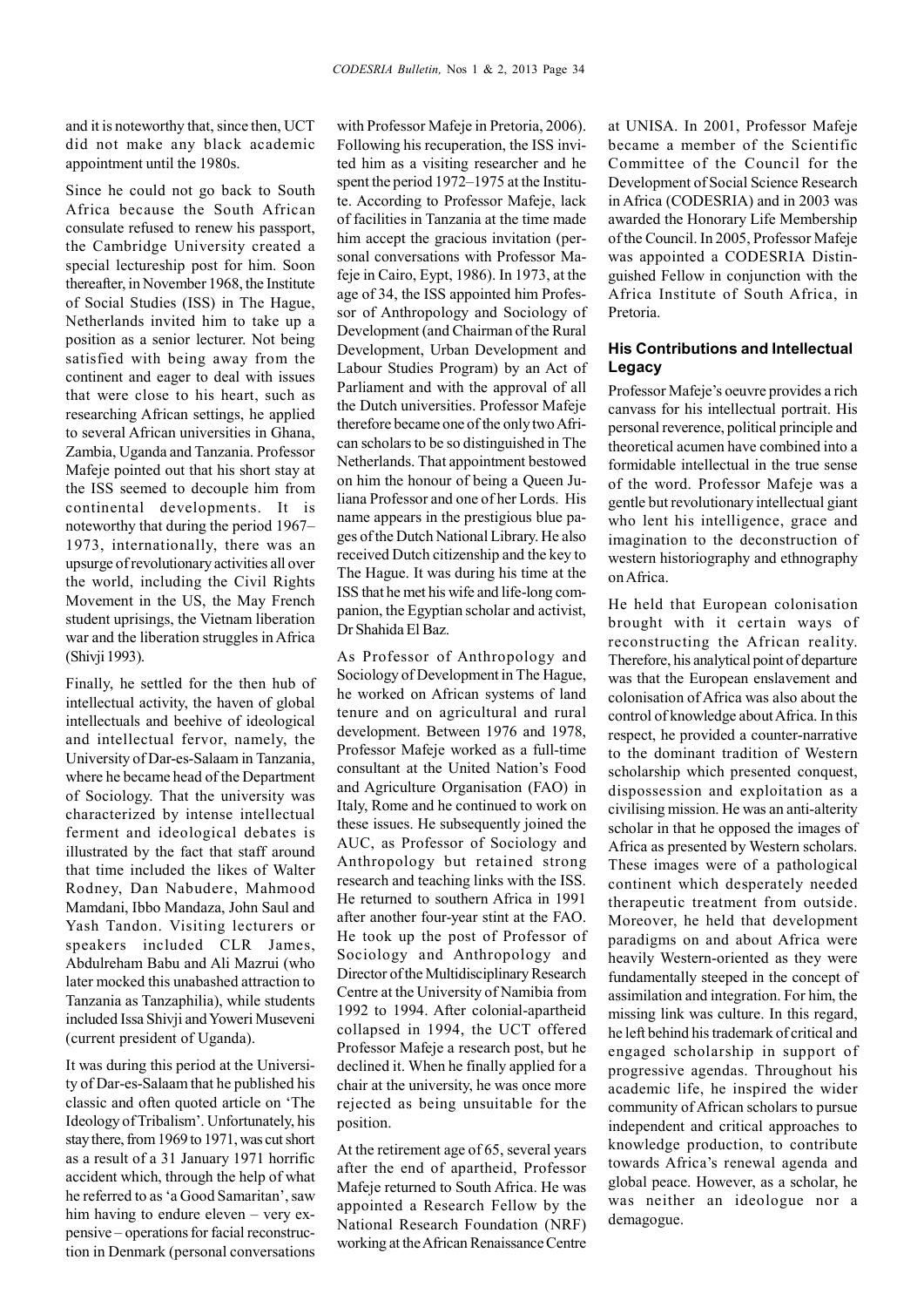and it is noteworthy that, since then, UCT did not make any black academic appointment until the 1980s.

Since he could not go back to South Africa because the South African consulate refused to renew his passport, the Cambridge University created a special lectureship post for him. Soon thereafter, in November 1968, the Institute of Social Studies (ISS) in The Hague, Netherlands invited him to take up a position as a senior lecturer. Not being satisfied with being away from the continent and eager to deal with issues that were close to his heart, such as researching African settings, he applied to several African universities in Ghana, Zambia, Uganda and Tanzania. Professor Mafeje pointed out that his short stay at the ISS seemed to decouple him from continental developments. It is noteworthy that during the period 1967– 1973, internationally, there was an upsurge of revolutionary activities all over the world, including the Civil Rights Movement in the US, the May French student uprisings, the Vietnam liberation war and the liberation struggles in Africa (Shivji 1993).

Finally, he settled for the then hub of intellectual activity, the haven of global intellectuals and beehive of ideological and intellectual fervor, namely, the University of Dar-es-Salaam in Tanzania, where he became head of the Department of Sociology. That the university was characterized by intense intellectual ferment and ideological debates is illustrated by the fact that staff around that time included the likes of Walter Rodney, Dan Nabudere, Mahmood Mamdani, Ibbo Mandaza, John Saul and Yash Tandon. Visiting lecturers or speakers included CLR James, Abdulreham Babu and Ali Mazrui (who later mocked this unabashed attraction to Tanzania as Tanzaphilia), while students included Issa Shivji and Yoweri Museveni (current president of Uganda).

It was during this period at the University of Dar-es-Salaam that he published his classic and often quoted article on 'The Ideology of Tribalism'. Unfortunately, his stay there, from 1969 to 1971, was cut short as a result of a 31 January 1971 horrific accident which, through the help of what he referred to as 'a Good Samaritan', saw him having to endure eleven – very expensive – operations for facial reconstruction in Denmark (personal conversations

with Professor Mafeje in Pretoria, 2006). Following his recuperation, the ISS invited him as a visiting researcher and he spent the period 1972–1975 at the Institute. According to Professor Mafeje, lack of facilities in Tanzania at the time made him accept the gracious invitation (personal conversations with Professor Mafeje in Cairo, Eypt, 1986). In 1973, at the age of 34, the ISS appointed him Professor of Anthropology and Sociology of Development (and Chairman of the Rural Development, Urban Development and Labour Studies Program) by an Act of Parliament and with the approval of all the Dutch universities. Professor Mafeje therefore became one of the only two African scholars to be so distinguished in The Netherlands. That appointment bestowed on him the honour of being a Queen Juliana Professor and one of her Lords. His name appears in the prestigious blue pages of the Dutch National Library. He also received Dutch citizenship and the key to The Hague. It was during his time at the ISS that he met his wife and life-long companion, the Egyptian scholar and activist, Dr Shahida El Baz.

As Professor of Anthropology and Sociology of Development in The Hague, he worked on African systems of land tenure and on agricultural and rural development. Between 1976 and 1978, Professor Mafeje worked as a full-time consultant at the United Nation's Food and Agriculture Organisation (FAO) in Italy, Rome and he continued to work on these issues. He subsequently joined the AUC, as Professor of Sociology and Anthropology but retained strong research and teaching links with the ISS. He returned to southern Africa in 1991 after another four-year stint at the FAO. He took up the post of Professor of Sociology and Anthropology and Director of the Multidisciplinary Research Centre at the University of Namibia from 1992 to 1994. After colonial-apartheid collapsed in 1994, the UCT offered Professor Mafeje a research post, but he declined it. When he finally applied for a chair at the university, he was once more rejected as being unsuitable for the position.

At the retirement age of 65, several years after the end of apartheid, Professor Mafeje returned to South Africa. He was appointed a Research Fellow by the National Research Foundation (NRF) working at the African Renaissance Centre

at UNISA. In 2001, Professor Mafeje became a member of the Scientific Committee of the Council for the Development of Social Science Research in Africa (CODESRIA) and in 2003 was awarded the Honorary Life Membership of the Council. In 2005, Professor Mafeje was appointed a CODESRIA Distinguished Fellow in conjunction with the Africa Institute of South Africa, in Pretoria.

# **His Contributions and Intellectual Legacy**

Professor Mafeje's oeuvre provides a rich canvass for his intellectual portrait. His personal reverence, political principle and theoretical acumen have combined into a formidable intellectual in the true sense of the word. Professor Mafeje was a gentle but revolutionary intellectual giant who lent his intelligence, grace and imagination to the deconstruction of western historiography and ethnography on Africa.

He held that European colonisation brought with it certain ways of reconstructing the African reality. Therefore, his analytical point of departure was that the European enslavement and colonisation of Africa was also about the control of knowledge about Africa. In this respect, he provided a counter-narrative to the dominant tradition of Western scholarship which presented conquest, dispossession and exploitation as a civilising mission. He was an anti-alterity scholar in that he opposed the images of Africa as presented by Western scholars. These images were of a pathological continent which desperately needed therapeutic treatment from outside. Moreover, he held that development paradigms on and about Africa were heavily Western-oriented as they were fundamentally steeped in the concept of assimilation and integration. For him, the missing link was culture. In this regard, he left behind his trademark of critical and engaged scholarship in support of progressive agendas. Throughout his academic life, he inspired the wider community of African scholars to pursue independent and critical approaches to knowledge production, to contribute towards Africa's renewal agenda and global peace. However, as a scholar, he was neither an ideologue nor a demagogue.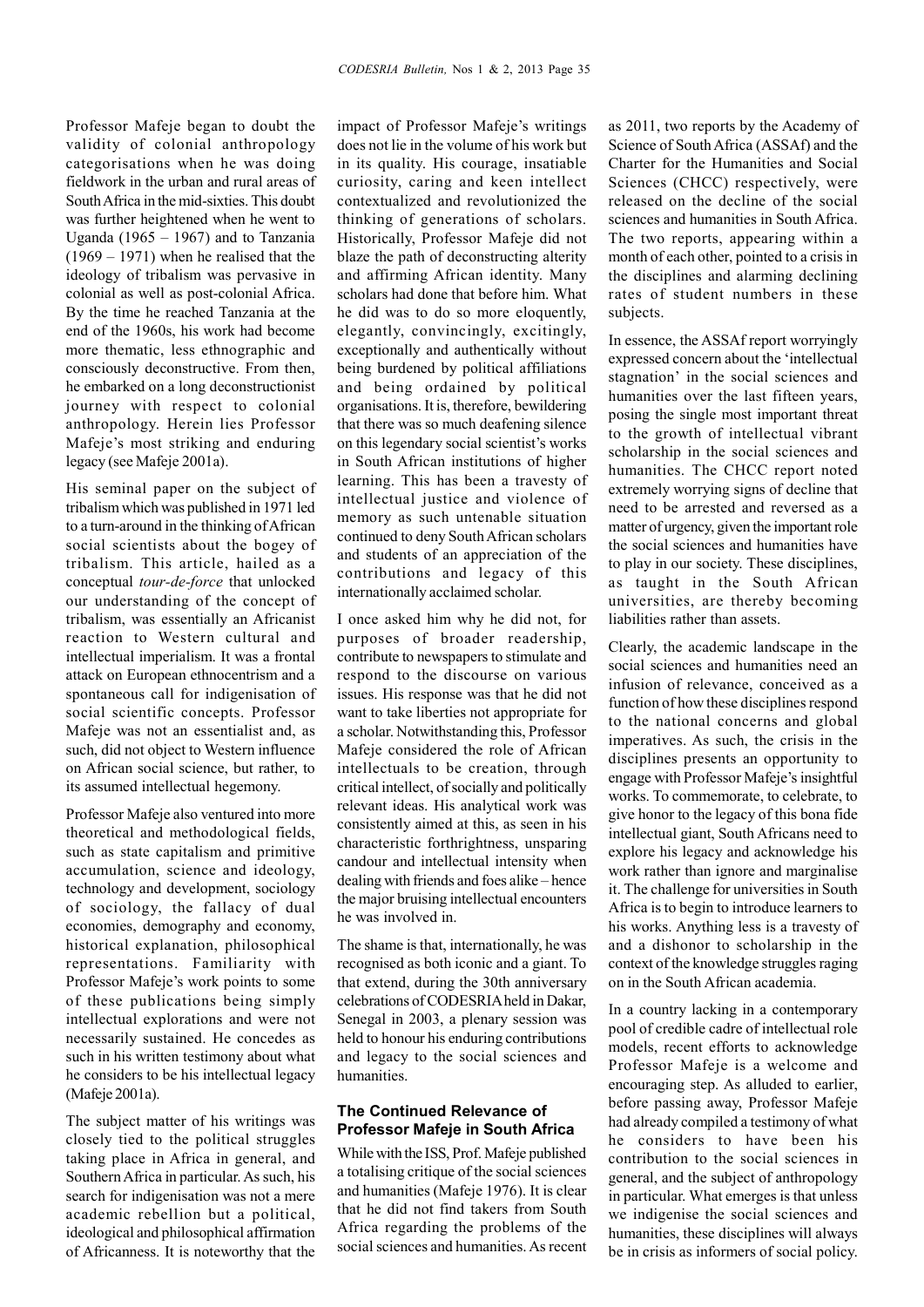Professor Mafeje began to doubt the validity of colonial anthropology categorisations when he was doing fieldwork in the urban and rural areas of South Africa in the mid-sixties. This doubt was further heightened when he went to Uganda (1965 – 1967) and to Tanzania (1969 – 1971) when he realised that the ideology of tribalism was pervasive in colonial as well as post-colonial Africa. By the time he reached Tanzania at the end of the 1960s, his work had become more thematic, less ethnographic and consciously deconstructive. From then, he embarked on a long deconstructionist journey with respect to colonial anthropology. Herein lies Professor Mafeje's most striking and enduring legacy (see Mafeje 2001a).

His seminal paper on the subject of tribalism which was published in 1971 led to a turn-around in the thinking of African social scientists about the bogey of tribalism. This article, hailed as a conceptual *tour-de-force* that unlocked our understanding of the concept of tribalism, was essentially an Africanist reaction to Western cultural and intellectual imperialism. It was a frontal attack on European ethnocentrism and a spontaneous call for indigenisation of social scientific concepts. Professor Mafeje was not an essentialist and, as such, did not object to Western influence on African social science, but rather, to its assumed intellectual hegemony.

Professor Mafeje also ventured into more theoretical and methodological fields, such as state capitalism and primitive accumulation, science and ideology, technology and development, sociology of sociology, the fallacy of dual economies, demography and economy, historical explanation, philosophical representations. Familiarity with Professor Mafeje's work points to some of these publications being simply intellectual explorations and were not necessarily sustained. He concedes as such in his written testimony about what he considers to be his intellectual legacy (Mafeje 2001a).

The subject matter of his writings was closely tied to the political struggles taking place in Africa in general, and Southern Africa in particular. As such, his search for indigenisation was not a mere academic rebellion but a political, ideological and philosophical affirmation of Africanness. It is noteworthy that the

impact of Professor Mafeje's writings does not lie in the volume of his work but in its quality. His courage, insatiable curiosity, caring and keen intellect contextualized and revolutionized the thinking of generations of scholars. Historically, Professor Mafeje did not blaze the path of deconstructing alterity and affirming African identity. Many scholars had done that before him. What he did was to do so more eloquently, elegantly, convincingly, excitingly, exceptionally and authentically without being burdened by political affiliations and being ordained by political organisations. It is, therefore, bewildering that there was so much deafening silence on this legendary social scientist's works in South African institutions of higher learning. This has been a travesty of intellectual justice and violence of memory as such untenable situation continued to deny South African scholars and students of an appreciation of the contributions and legacy of this internationally acclaimed scholar.

I once asked him why he did not, for purposes of broader readership, contribute to newspapers to stimulate and respond to the discourse on various issues. His response was that he did not want to take liberties not appropriate for a scholar. Notwithstanding this, Professor Mafeje considered the role of African intellectuals to be creation, through critical intellect, of socially and politically relevant ideas. His analytical work was consistently aimed at this, as seen in his characteristic forthrightness, unsparing candour and intellectual intensity when dealing with friends and foes alike – hence the major bruising intellectual encounters he was involved in.

The shame is that, internationally, he was recognised as both iconic and a giant. To that extend, during the 30th anniversary celebrations of CODESRIA held in Dakar, Senegal in 2003, a plenary session was held to honour his enduring contributions and legacy to the social sciences and humanities.

### **The Continued Relevance of Professor Mafeje in South Africa**

While with the ISS, Prof. Mafeje published a totalising critique of the social sciences and humanities (Mafeje 1976). It is clear that he did not find takers from South Africa regarding the problems of the social sciences and humanities. As recent as 2011, two reports by the Academy of Science of South Africa (ASSAf) and the Charter for the Humanities and Social Sciences (CHCC) respectively, were released on the decline of the social sciences and humanities in South Africa. The two reports, appearing within a month of each other, pointed to a crisis in the disciplines and alarming declining rates of student numbers in these subjects.

In essence, the ASSAf report worryingly expressed concern about the 'intellectual stagnation' in the social sciences and humanities over the last fifteen years, posing the single most important threat to the growth of intellectual vibrant scholarship in the social sciences and humanities. The CHCC report noted extremely worrying signs of decline that need to be arrested and reversed as a matter of urgency, given the important role the social sciences and humanities have to play in our society. These disciplines, as taught in the South African universities, are thereby becoming liabilities rather than assets.

Clearly, the academic landscape in the social sciences and humanities need an infusion of relevance, conceived as a function of how these disciplines respond to the national concerns and global imperatives. As such, the crisis in the disciplines presents an opportunity to engage with Professor Mafeje's insightful works. To commemorate, to celebrate, to give honor to the legacy of this bona fide intellectual giant, South Africans need to explore his legacy and acknowledge his work rather than ignore and marginalise it. The challenge for universities in South Africa is to begin to introduce learners to his works. Anything less is a travesty of and a dishonor to scholarship in the context of the knowledge struggles raging on in the South African academia.

In a country lacking in a contemporary pool of credible cadre of intellectual role models, recent efforts to acknowledge Professor Mafeje is a welcome and encouraging step. As alluded to earlier, before passing away, Professor Mafeje had already compiled a testimony of what he considers to have been his contribution to the social sciences in general, and the subject of anthropology in particular. What emerges is that unless we indigenise the social sciences and humanities, these disciplines will always be in crisis as informers of social policy.